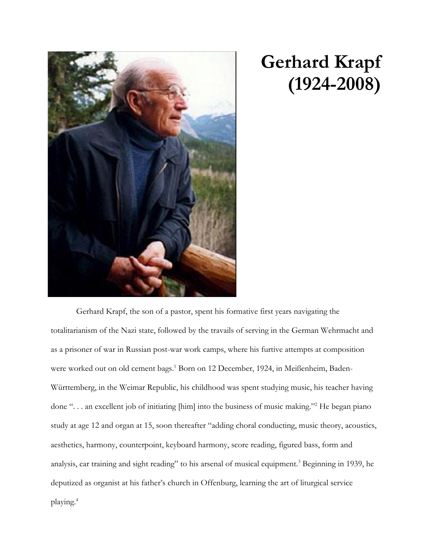

## **Gerhard Krapf (1924-2008)**

Gerhard Krapf, the son of a pastor, spent his formative first years navigating the totalitarianism of the Nazi state, followed by the travails of serving in the German Wehrmacht and as a prisoner of war in Russian post-war work camps, where his furtive attempts at composition were worked out on old cement bags.<sup>1</sup> Born on 12 December, 1924, in Meißenheim, Baden-Württemberg, in the Weimar Republic, his childhood was spent studying music, his teacher having done ". . . an excellent job of initiating [him] into the business of music making."<sup>2</sup> He began piano study at age 12 and organ at 15, soon thereafter "adding choral conducting, music theory, acoustics, aesthetics, harmony, counterpoint, keyboard harmony, score reading, figured bass, form and analysis, ear training and sight reading" to his arsenal of musical equipment.<sup>3</sup> Beginning in 1939, he deputized as organist at his father's church in Offenburg, learning the art of liturgical service playing.4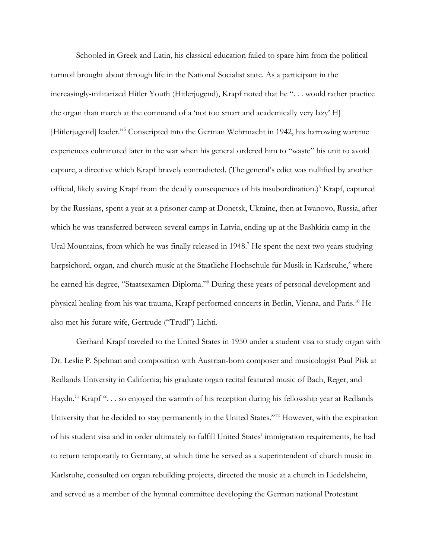Schooled in Greek and Latin, his classical education failed to spare him from the political turmoil brought about through life in the National Socialist state. As a participant in the increasingly-militarized Hitler Youth (Hitlerjugend), Krapf noted that he ". . . would rather practice the organ than march at the command of a 'not too smart and academically very lazy' HJ [Hitlerjugend] leader."<sup>5</sup> Conscripted into the German Wehrmacht in 1942, his harrowing wartime experiences culminated later in the war when his general ordered him to "waste" his unit to avoid capture, a directive which Krapf bravely contradicted. (The general's edict was nullified by another official, likely saving Krapf from the deadly consequences of his insubordination.)<sup>6</sup> Krapf, captured by the Russians, spent a year at a prisoner camp at Donetsk, Ukraine, then at Iwanovo, Russia, after which he was transferred between several camps in Latvia, ending up at the Bashkiria camp in the Ural Mountains, from which he was finally released in 1948.<sup>7</sup> He spent the next two years studying harpsichord, organ, and church music at the Staatliche Hochschule für Musik in Karlsruhe,<sup>8</sup> where he earned his degree, "Staatsexamen-Diploma."<sup>9</sup> During these years of personal development and physical healing from his war trauma, Krapf performed concerts in Berlin, Vienna, and Paris.<sup>10</sup> He also met his future wife, Gertrude ("Trudl") Lichti.

Gerhard Krapf traveled to the United States in 1950 under a student visa to study organ with Dr. Leslie P. Spelman and composition with Austrian-born composer and musicologist Paul Pisk at Redlands University in California; his graduate organ recital featured music of Bach, Reger, and Haydn.<sup>11</sup> Krapf " $\ldots$  so enjoyed the warmth of his reception during his fellowship year at Redlands University that he decided to stay permanently in the United States."<sup>12</sup> However, with the expiration of his student visa and in order ultimately to fulfill United States' immigration requirements, he had to return temporarily to Germany, at which time he served as a superintendent of church music in Karlsruhe, consulted on organ rebuilding projects, directed the music at a church in Liedelsheim, and served as a member of the hymnal committee developing the German national Protestant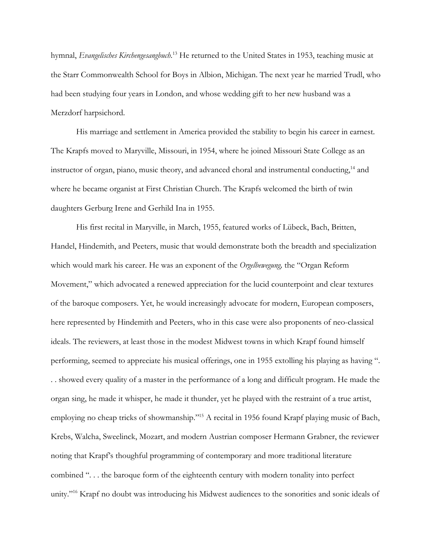hymnal, *Evangelisches Kirchengesangbuch*. <sup>13</sup> He returned to the United States in 1953, teaching music at the Starr Commonwealth School for Boys in Albion, Michigan. The next year he married Trudl, who had been studying four years in London, and whose wedding gift to her new husband was a Merzdorf harpsichord.

His marriage and settlement in America provided the stability to begin his career in earnest. The Krapfs moved to Maryville, Missouri, in 1954, where he joined Missouri State College as an instructor of organ, piano, music theory, and advanced choral and instrumental conducting,<sup>14</sup> and where he became organist at First Christian Church. The Krapfs welcomed the birth of twin daughters Gerburg Irene and Gerhild Ina in 1955.

His first recital in Maryville, in March, 1955, featured works of Lübeck, Bach, Britten, Handel, Hindemith, and Peeters, music that would demonstrate both the breadth and specialization which would mark his career. He was an exponent of the *Orgelbewegung,* the "Organ Reform Movement," which advocated a renewed appreciation for the lucid counterpoint and clear textures of the baroque composers. Yet, he would increasingly advocate for modern, European composers, here represented by Hindemith and Peeters, who in this case were also proponents of neo-classical ideals. The reviewers, at least those in the modest Midwest towns in which Krapf found himself performing, seemed to appreciate his musical offerings, one in 1955 extolling his playing as having ". . . showed every quality of a master in the performance of a long and difficult program. He made the organ sing, he made it whisper, he made it thunder, yet he played with the restraint of a true artist, employing no cheap tricks of showmanship."<sup>15</sup> A recital in 1956 found Krapf playing music of Bach, Krebs, Walcha, Sweelinck, Mozart, and modern Austrian composer Hermann Grabner, the reviewer noting that Krapf's thoughful programming of contemporary and more traditional literature combined ". . . the baroque form of the eighteenth century with modern tonality into perfect unity."<sup>16</sup> Krapf no doubt was introducing his Midwest audiences to the sonorities and sonic ideals of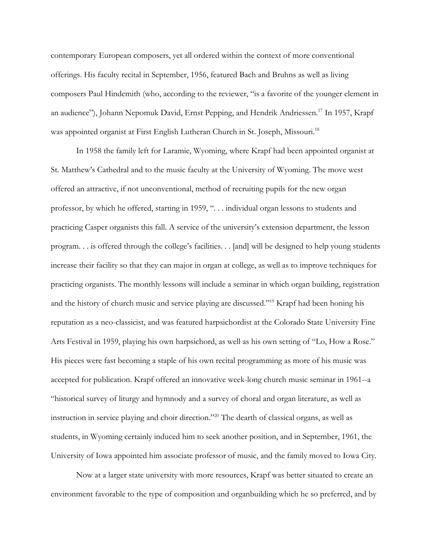contemporary European composers, yet all ordered within the context of more conventional offerings. His faculty recital in September, 1956, featured Bach and Bruhns as well as living composers Paul Hindemith (who, according to the reviewer, "is a favorite of the younger element in an audience"), Johann Nepomuk David, Ernst Pepping, and Hendrik Andriessen.<sup>17</sup> In 1957, Krapf was appointed organist at First English Lutheran Church in St. Joseph, Missouri.<sup>18</sup>

In 1958 the family left for Laramie, Wyoming, where Krapf had been appointed organist at St. Matthew's Cathedral and to the music faculty at the University of Wyoming. The move west offered an attractive, if not unconventional, method of recruiting pupils for the new organ professor, by which he offered, starting in 1959, ". . . individual organ lessons to students and practicing Casper organists this fall. A service of the university's extension department, the lesson program. . . is offered through the college's facilities. . . [and] will be designed to help young students increase their facility so that they can major in organ at college, as well as to improve techniques for practicing organists. The monthly lessons will include a seminar in which organ building, registration and the history of church music and service playing are discussed."<sup>19</sup> Krapf had been honing his reputation as a neo-classicist, and was featured harpsichordist at the Colorado State University Fine Arts Festival in 1959, playing his own harpsichord, as well as his own setting of "Lo, How a Rose." His pieces were fast becoming a staple of his own recital programming as more of his music was accepted for publication. Krapf offered an innovative week-long church music seminar in 1961--a "historical survey of liturgy and hymnody and a survey of choral and organ literature, as well as instruction in service playing and choir direction."<sup>20</sup> The dearth of classical organs, as well as students, in Wyoming certainly induced him to seek another position, and in September, 1961, the University of Iowa appointed him associate professor of music, and the family moved to Iowa City.

Now at a larger state university with more resources, Krapf was better situated to create an environment favorable to the type of composition and organbuilding which he so preferred, and by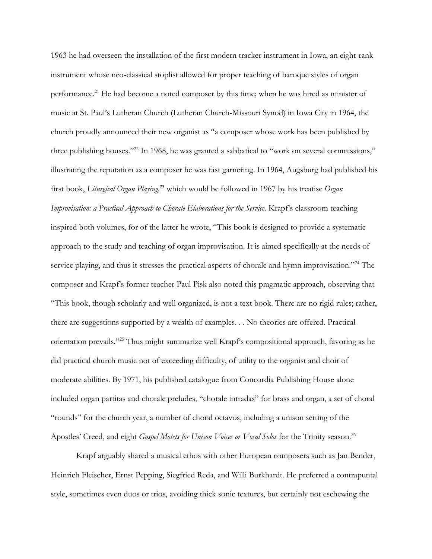1963 he had overseen the installation of the first modern tracker instrument in Iowa, an eight-rank instrument whose neo-classical stoplist allowed for proper teaching of baroque styles of organ performance.<sup>21</sup> He had become a noted composer by this time; when he was hired as minister of music at St. Paul's Lutheran Church (Lutheran Church-Missouri Synod) in Iowa City in 1964, the church proudly announced their new organist as "a composer whose work has been published by three publishing houses."<sup>22</sup> In 1968, he was granted a sabbatical to "work on several commissions," illustrating the reputation as a composer he was fast garnering. In 1964, Augsburg had published his first book, *Liturgical Organ Playing,* <sup>23</sup> which would be followed in 1967 by his treatise *Organ Improvisation: a Practical Approach to Chorale Elaborations for the Service.* Krapf's classroom teaching inspired both volumes, for of the latter he wrote, "This book is designed to provide a systematic approach to the study and teaching of organ improvisation. It is aimed specifically at the needs of service playing, and thus it stresses the practical aspects of chorale and hymn improvisation."<sup>24</sup> The composer and Krapf's former teacher Paul Pisk also noted this pragmatic approach, observing that "This book, though scholarly and well organized, is not a text book. There are no rigid rules; rather, there are suggestions supported by a wealth of examples. . . No theories are offered. Practical orientation prevails."<sup>25</sup> Thus might summarize well Krapf's compositional approach, favoring as he did practical church music not of exceeding difficulty, of utility to the organist and choir of moderate abilities. By 1971, his published catalogue from Concordia Publishing House alone included organ partitas and chorale preludes, "chorale intradas" for brass and organ, a set of choral "rounds" for the church year, a number of choral octavos, including a unison setting of the Apostles' Creed, and eight *Gospel Motets for Unison Voices or Vocal Solos* for the Trinity season.<sup>26</sup>

Krapf arguably shared a musical ethos with other European composers such as Jan Bender, Heinrich Fleischer, Ernst Pepping, Siegfried Reda, and Willi Burkhardt. He preferred a contrapuntal style, sometimes even duos or trios, avoiding thick sonic textures, but certainly not eschewing the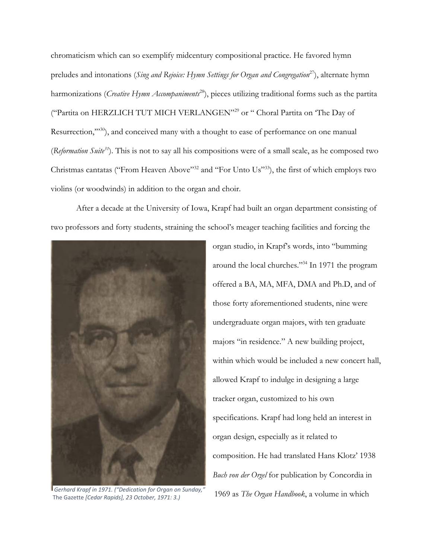chromaticism which can so exemplify midcentury compositional practice. He favored hymn preludes and intonations (*Sing and Rejoice: Hymn Settings for Organ and Congregation*<sup>27</sup>), alternate hymn harmonizations (*Creative Hymn Accompaniments*<sup>28</sup>), pieces utilizing traditional forms such as the partita ("Partita on HERZLICH TUT MICH VERLANGEN"<sup>29</sup> or " Choral Partita on 'The Day of Resurrection,"<sup>30</sup>), and conceived many with a thought to ease of performance on one manual (*Reformation Suite<sup>31</sup>*). This is not to say all his compositions were of a small scale, as he composed two Christmas cantatas ("From Heaven Above"<sup>32</sup> and "For Unto Us"<sup>33</sup>), the first of which employs two violins (or woodwinds) in addition to the organ and choir.

After a decade at the University of Iowa, Krapf had built an organ department consisting of two professors and forty students, straining the school's meager teaching facilities and forcing the



The Gazette *[Cedar Rapids], 23 October, 1971: 3.)*

organ studio, in Krapf's words, into "bumming around the local churches."<sup>34</sup> In 1971 the program offered a BA, MA, MFA, DMA and Ph.D, and of those forty aforementioned students, nine were undergraduate organ majors, with ten graduate majors "in residence." A new building project, within which would be included a new concert hall, allowed Krapf to indulge in designing a large tracker organ, customized to his own specifications. Krapf had long held an interest in organ design, especially as it related to composition. He had translated Hans Klotz' 1938 *Buch von der Orgel* for publication by Concordia in 1969 as *The Organ Handbook*, a volume in which *Gerhard Krapf in 1971. ("Dedication for Organ on Sunday,"*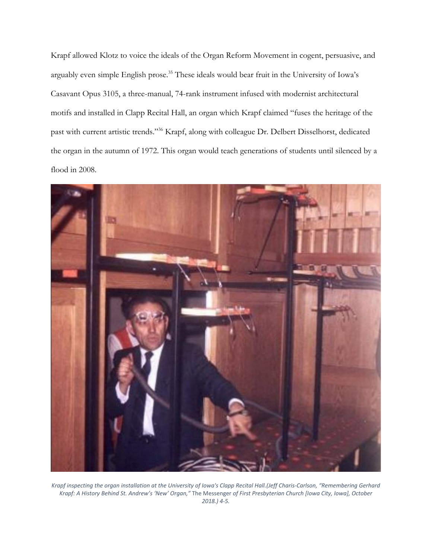Krapf allowed Klotz to voice the ideals of the Organ Reform Movement in cogent, persuasive, and arguably even simple English prose.<sup>35</sup> These ideals would bear fruit in the University of Iowa's Casavant Opus 3105, a three-manual, 74-rank instrument infused with modernist architectural motifs and installed in Clapp Recital Hall, an organ which Krapf claimed "fuses the heritage of the past with current artistic trends."<sup>36</sup> Krapf, along with colleague Dr. Delbert Disselhorst, dedicated the organ in the autumn of 1972. This organ would teach generations of students until silenced by a flood in 2008.



*Krapf inspecting the organ installation at the University of Iowa's Clapp Recital Hall.(Jeff Charis-Carlson, "Remembering Gerhard Krapf: A History Behind St. Andrew's 'New' Organ,"* The Messenger *of First Presbyterian Church [Iowa City, Iowa], October 2018.) 4-5.*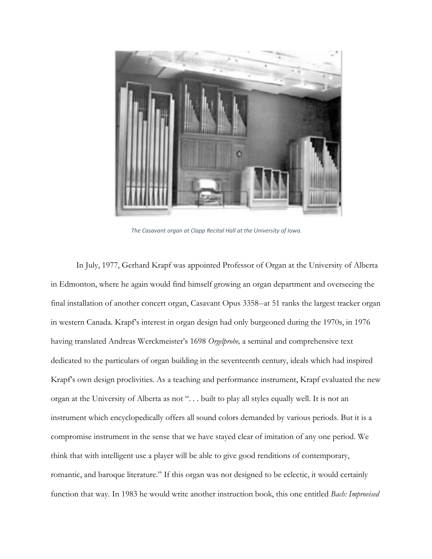

*The Casavant organ at Clapp Recital Hall at the University of Iowa.*

In July, 1977, Gerhard Krapf was appointed Professor of Organ at the University of Alberta in Edmonton, where he again would find himself growing an organ department and overseeing the final installation of another concert organ, Casavant Opus 3358--at 51 ranks the largest tracker organ in western Canada. Krapf's interest in organ design had only burgeoned during the 1970s, in 1976 having translated Andreas Werckmeister's 1698 *Orgelprobe,* a seminal and comprehensive text dedicated to the particulars of organ building in the seventeenth century, ideals which had inspired Krapf's own design proclivities. As a teaching and performance instrument, Krapf evaluated the new organ at the University of Alberta as not ". . . built to play all styles equally well. It is not an instrument which encyclopedically offers all sound colors demanded by various periods. But it is a compromise instrument in the sense that we have stayed clear of imitation of any one period. We think that with intelligent use a player will be able to give good renditions of contemporary, romantic, and baroque literature." If this organ was not designed to be eclectic, it would certainly function that way. In 1983 he would write another instruction book, this one entitled *Bach: Improvised*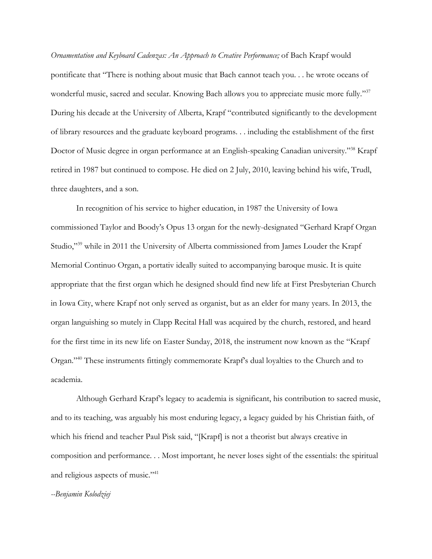*Ornamentation and Keyboard Cadenzas: An Approach to Creative Performance;* of Bach Krapf would pontificate that "There is nothing about music that Bach cannot teach you. . . he wrote oceans of wonderful music, sacred and secular. Knowing Bach allows you to appreciate music more fully."37 During his decade at the University of Alberta, Krapf "contributed significantly to the development of library resources and the graduate keyboard programs. . . including the establishment of the first Doctor of Music degree in organ performance at an English-speaking Canadian university."<sup>38</sup> Krapf retired in 1987 but continued to compose. He died on 2 July, 2010, leaving behind his wife, Trudl, three daughters, and a son.

In recognition of his service to higher education, in 1987 the University of Iowa commissioned Taylor and Boody's Opus 13 organ for the newly-designated "Gerhard Krapf Organ Studio,"<sup>39</sup> while in 2011 the University of Alberta commissioned from James Louder the Krapf Memorial Continuo Organ, a portativ ideally suited to accompanying baroque music. It is quite appropriate that the first organ which he designed should find new life at First Presbyterian Church in Iowa City, where Krapf not only served as organist, but as an elder for many years. In 2013, the organ languishing so mutely in Clapp Recital Hall was acquired by the church, restored, and heard for the first time in its new life on Easter Sunday, 2018, the instrument now known as the "Krapf Organ."<sup>40</sup> These instruments fittingly commemorate Krapf's dual loyalties to the Church and to academia.

Although Gerhard Krapf's legacy to academia is significant, his contribution to sacred music, and to its teaching, was arguably his most enduring legacy, a legacy guided by his Christian faith, of which his friend and teacher Paul Pisk said, "[Krapf] is not a theorist but always creative in composition and performance. . . Most important, he never loses sight of the essentials: the spiritual and religious aspects of music."<sup>41</sup>

## *--Benjamin Kolodziej*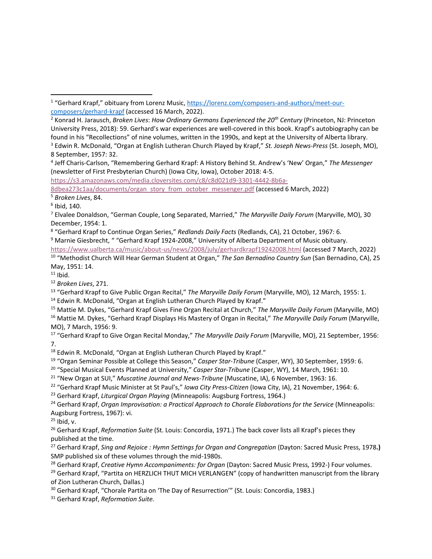- <sup>2</sup> Konrad H. Jarausch, *Broken Lives*: *How Ordinary Germans Experienced the 20th Century* (Princeton, NJ: Princeton University Press, 2018): 59. Gerhard's war experiences are well-covered in this book. Krapf's autobiography can be found in his "Recollections" of nine volumes, written in the 1990s, and kept at the University of Alberta library.
- <sup>3</sup> Edwin R. McDonald, "Organ at English Lutheran Church Played by Krapf," *St. Joseph News-Press* (St. Joseph, MO), 8 September, 1957: 32.

4 Jeff Charis-Carlson, "Remembering Gerhard Krapf: A History Behind St. Andrew's 'New' Organ," *The Messenger*  (newsletter of First Presbyterian Church) (Iowa City, Iowa), October 2018: 4-5.

[https://s3.amazonaws.com/media.cloversites.com/c8/c8d021d9-3301-4442-8b6a-](https://s3.amazonaws.com/media.cloversites.com/c8/c8d021d9-3301-4442-8b6a-8dbea273c1aa/documents/organ_story_from_october_messenger.pdf)

[8dbea273c1aa/documents/organ\\_story\\_from\\_october\\_messenger.pdf](https://s3.amazonaws.com/media.cloversites.com/c8/c8d021d9-3301-4442-8b6a-8dbea273c1aa/documents/organ_story_from_october_messenger.pdf) (accessed 6 March, 2022)

<sup>5</sup> *Broken Lives*, 84.

6 Ibid, 140.

8 "Gerhard Krapf to Continue Organ Series," *Redlands Daily Facts* (Redlands, CA), 21 October, 1967: 6.

<sup>9</sup> Marnie Giesbrecht, " "Gerhard Krapf 1924-2008," University of Alberta Department of Music obituary.

<https://www.ualberta.ca/music/about-us/news/2008/july/gerhardkrapf19242008.html> (accessed 7 March, 2022)

10 "Methodist Church Will Hear German Student at Organ," *The San Bernadino Country Sun* (San Bernadino, CA), 25 May, 1951: 14.

 $11$  Ibid.

<sup>12</sup> *Broken Lives*, 271.

<sup>13</sup> "Gerhard Krapf to Give Public Organ Recital," The Maryville Daily Forum (Maryville, MO), 12 March, 1955: 1.

- <sup>14</sup> Edwin R. McDonald, "Organ at English Lutheran Church Played by Krapf."
- <sup>15</sup> Mattie M. Dykes, "Gerhard Krapf Gives Fine Organ Recital at Church," *The Maryville Daily Forum* (Maryville, MO) <sup>16</sup> Mattie M. Dykes, "Gerhard Krapf Displays His Mastery of Organ in Recital," *The Maryville Daily Forum* (Maryville, MO), 7 March, 1956: 9.
- <sup>17</sup> "Gerhard Krapf to Give Organ Recital Monday," The Maryville Daily Forum (Maryville, MO), 21 September, 1956: 7.

<sup>18</sup> Edwin R. McDonald, "Organ at English Lutheran Church Played by Krapf."

19 "Organ Seminar Possible at College this Season," *Casper Star-Tribune* (Casper, WY), 30 September, 1959: 6.

20 "Special Musical Events Planned at University," *Casper Star-Tribune* (Casper, WY), 14 March, 1961: 10.

21 "New Organ at SUI," *Muscatine Journal and News-Tribune* (Muscatine, IA), 6 November, 1963: 16.

22 "Gerhard Krapf Music Minister at St Paul's," *Iowa City Press-Citizen* (Iowa City, IA), 21 November, 1964: 6.

<sup>23</sup> Gerhard Krapf, *Liturgical Organ Playing* (Minneapolis: Augsburg Fortress, 1964.)

<sup>24</sup> Gerhard Krapf, *Organ Improvisation: a Practical Approach to Chorale Elaborations for the Service* (Minneapolis: Augsburg Fortress, 1967): vi.

 $25$  Ibid, v.

<sup>26</sup> Gerhard Krapf, *Reformation Suite* (St. Louis: Concordia, 1971.) The back cover lists all Krapf's pieces they published at the time.

<sup>27</sup> Gerhard Krapf, *Sing and Rejoice : Hymn Settings for Organ and Congregation* (Dayton: Sacred Music Press, 1978**.)** SMP published six of these volumes through the mid-1980s.

<sup>28</sup> Gerhard Krapf, *Creative Hymn Accompaniments: for Organ* (Dayton: Sacred Music Press, 1992-) Four volumes.

<sup>29</sup> Gerhard Krapf, "Partita on HERZLICH THUT MICH VERLANGEN" (copy of handwritten manuscript from the library of Zion Lutheran Church, Dallas.)

<sup>30</sup> Gerhard Krapf, "Chorale Partita on 'The Day of Resurrection'" (St. Louis: Concordia, 1983.)

<sup>31</sup> Gerhard Krapf, *Reformation Suite.*

<sup>&</sup>lt;sup>1</sup> "Gerhard Krapf," obituary from Lorenz Music, [https://lorenz.com/composers-and-authors/meet-our](https://lorenz.com/composers-and-authors/meet-our-composers/gerhard-krapf)[composers/gerhard-krapf](https://lorenz.com/composers-and-authors/meet-our-composers/gerhard-krapf) (accessed 16 March, 2022).  $\overline{\phantom{a}}$ 

<sup>7</sup> Elvalee Donaldson, "German Couple, Long Separated, Married," *The Maryville Daily Forum* (Maryville, MO), 30 December, 1954: 1.